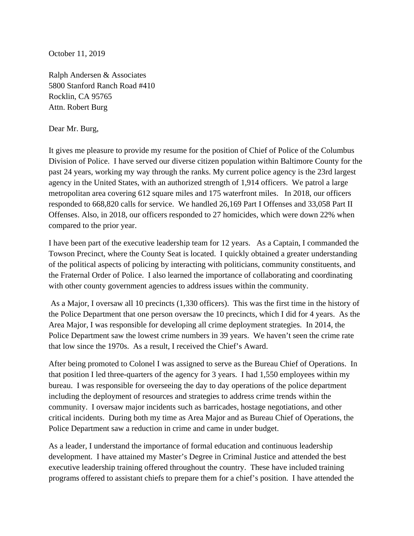October 11, 2019

Ralph Andersen & Associates 5800 Stanford Ranch Road #410 Rocklin, CA 95765 Attn. Robert Burg

Dear Mr. Burg,

It gives me pleasure to provide my resume for the position of Chief of Police of the Columbus Division of Police. I have served our diverse citizen population within Baltimore County for the past 24 years, working my way through the ranks. My current police agency is the 23rd largest agency in the United States, with an authorized strength of 1,914 officers. We patrol a large metropolitan area covering 612 square miles and 175 waterfront miles. In 2018, our officers responded to 668,820 calls for service. We handled 26,169 Part I Offenses and 33,058 Part II Offenses. Also, in 2018, our officers responded to 27 homicides, which were down 22% when compared to the prior year.

I have been part of the executive leadership team for 12 years. As a Captain, I commanded the Towson Precinct, where the County Seat is located. I quickly obtained a greater understanding of the political aspects of policing by interacting with politicians, community constituents, and the Fraternal Order of Police. I also learned the importance of collaborating and coordinating with other county government agencies to address issues within the community.

As a Major, I oversaw all 10 precincts (1,330 officers). This was the first time in the history of the Police Department that one person oversaw the 10 precincts, which I did for 4 years. As the Area Major, I was responsible for developing all crime deployment strategies. In 2014, the Police Department saw the lowest crime numbers in 39 years. We haven't seen the crime rate that low since the 1970s. As a result, I received the Chief's Award.

After being promoted to Colonel I was assigned to serve as the Bureau Chief of Operations. In that position I led three-quarters of the agency for 3 years. I had 1,550 employees within my bureau. I was responsible for overseeing the day to day operations of the police department including the deployment of resources and strategies to address crime trends within the community. I oversaw major incidents such as barricades, hostage negotiations, and other critical incidents. During both my time as Area Major and as Bureau Chief of Operations, the Police Department saw a reduction in crime and came in under budget.

As a leader, I understand the importance of formal education and continuous leadership development. I have attained my Master's Degree in Criminal Justice and attended the best executive leadership training offered throughout the country. These have included training programs offered to assistant chiefs to prepare them for a chief's position. I have attended the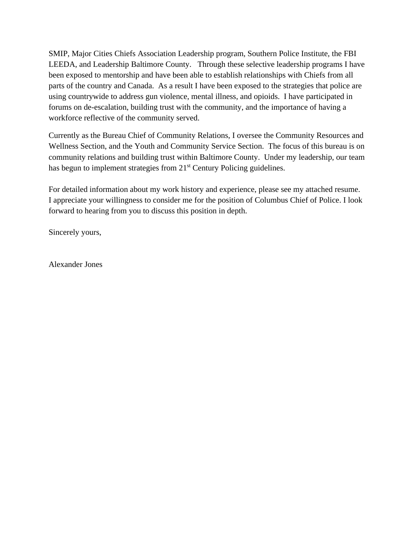SMIP, Major Cities Chiefs Association Leadership program, Southern Police Institute, the FBI LEEDA, and Leadership Baltimore County. Through these selective leadership programs I have been exposed to mentorship and have been able to establish relationships with Chiefs from all parts of the country and Canada. As a result I have been exposed to the strategies that police are using countrywide to address gun violence, mental illness, and opioids. I have participated in forums on de-escalation, building trust with the community, and the importance of having a workforce reflective of the community served.

Currently as the Bureau Chief of Community Relations, I oversee the Community Resources and Wellness Section, and the Youth and Community Service Section. The focus of this bureau is on community relations and building trust within Baltimore County. Under my leadership, our team has begun to implement strategies from 21<sup>st</sup> Century Policing guidelines.

For detailed information about my work history and experience, please see my attached resume. I appreciate your willingness to consider me for the position of Columbus Chief of Police. I look forward to hearing from you to discuss this position in depth.

Sincerely yours,

Alexander Jones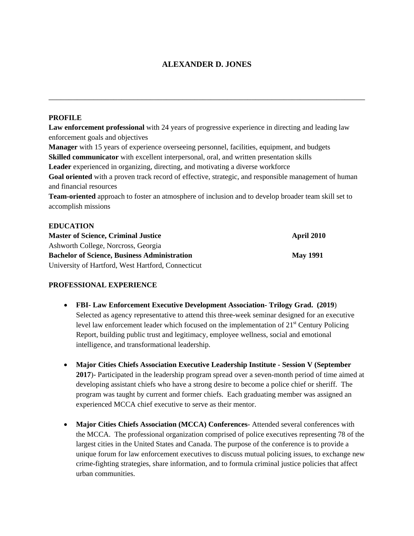## **ALEXANDER D. JONES**

\_\_\_\_\_\_\_\_\_\_\_\_\_\_\_\_\_\_\_\_\_\_\_\_\_\_\_\_\_\_\_\_\_\_\_\_\_\_\_\_\_\_\_\_\_\_\_\_\_\_\_\_\_\_\_\_\_\_\_\_\_\_\_\_\_\_\_\_\_\_\_\_\_\_\_\_\_\_

### **PROFILE**

**Law enforcement professional** with 24 years of progressive experience in directing and leading law enforcement goals and objectives **Manager** with 15 years of experience overseeing personnel, facilities, equipment, and budgets **Skilled communicator** with excellent interpersonal, oral, and written presentation skills **Leader** experienced in organizing, directing, and motivating a diverse workforce **Goal oriented** with a proven track record of effective, strategic, and responsible management of human and financial resources **Team-oriented** approach to foster an atmosphere of inclusion and to develop broader team skill set to accomplish missions **EDUCATION**

| <b>Master of Science, Criminal Justice</b>          | <b>April 2010</b> |
|-----------------------------------------------------|-------------------|
| Ashworth College, Norcross, Georgia                 |                   |
| <b>Bachelor of Science, Business Administration</b> | <b>May 1991</b>   |
| University of Hartford, West Hartford, Connecticut  |                   |

## **PROFESSIONAL EXPERIENCE**

- **FBI- Law Enforcement Executive Development Association- Trilogy Grad. (2019**) Selected as agency representative to attend this three-week seminar designed for an executive level law enforcement leader which focused on the implementation of  $21<sup>st</sup>$  Century Policing Report, building public trust and legitimacy, employee wellness, social and emotional intelligence, and transformational leadership.
- **Major Cities Chiefs Association Executive Leadership Institute Session V (September 2017**)- Participated in the leadership program spread over a seven-month period of time aimed at developing assistant chiefs who have a strong desire to become a police chief or sheriff. The program was taught by current and former chiefs. Each graduating member was assigned an experienced MCCA chief executive to serve as their mentor.
- **Major Cities Chiefs Association (MCCA) Conferences** Attended several conferences with the MCCA. The professional organization comprised of police executives representing 78 of the largest cities in the United States and Canada. The purpose of the conference is to provide a unique forum for law enforcement executives to discuss mutual policing issues, to exchange new crime-fighting strategies, share information, and to formula criminal justice policies that affect urban communities.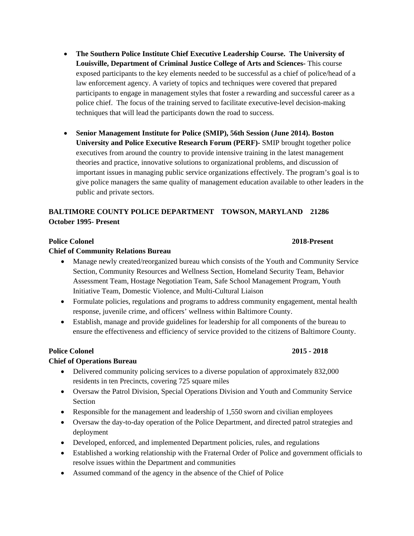- **The Southern Police Institute Chief Executive Leadership Course. The University of Louisville, Department of Criminal Justice College of Arts and Sciences-** This course exposed participants to the key elements needed to be successful as a chief of police/head of a law enforcement agency. A variety of topics and techniques were covered that prepared participants to engage in management styles that foster a rewarding and successful career as a police chief. The focus of the training served to facilitate executive-level decision-making techniques that will lead the participants down the road to success.
- **Senior Management Institute for Police (SMIP), 56th Session (June 2014). Boston University and Police Executive Research Forum (PERF)-** SMIP brought together police executives from around the country to provide intensive training in the latest management theories and practice, innovative solutions to organizational problems, and discussion of important issues in managing public service organizations effectively. The program's goal is to give police managers the same quality of management education available to other leaders in the public and private sectors.

# **BALTIMORE COUNTY POLICE DEPARTMENT TOWSON, MARYLAND 21286 October 1995- Present**

## **Police Colonel 2018-Present**

### **Chief of Community Relations Bureau**

- Manage newly created/reorganized bureau which consists of the Youth and Community Service Section, Community Resources and Wellness Section, Homeland Security Team, Behavior Assessment Team, Hostage Negotiation Team, Safe School Management Program, Youth Initiative Team, Domestic Violence, and Multi-Cultural Liaison
- Formulate policies, regulations and programs to address community engagement, mental health response, juvenile crime, and officers' wellness within Baltimore County.
- Establish, manage and provide guidelines for leadership for all components of the bureau to ensure the effectiveness and efficiency of service provided to the citizens of Baltimore County.

## **Police Colonel 2015 - 2018**

## **Chief of Operations Bureau**

- Delivered community policing services to a diverse population of approximately 832,000 residents in ten Precincts, covering 725 square miles
- Oversaw the Patrol Division, Special Operations Division and Youth and Community Service Section
- Responsible for the management and leadership of 1,550 sworn and civilian employees
- Oversaw the day-to-day operation of the Police Department, and directed patrol strategies and deployment
- Developed, enforced, and implemented Department policies, rules, and regulations
- Established a working relationship with the Fraternal Order of Police and government officials to resolve issues within the Department and communities
- Assumed command of the agency in the absence of the Chief of Police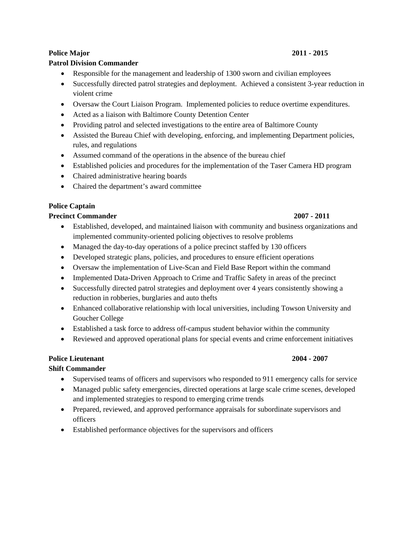### **Police Major 2011 - 2015**

## **Patrol Division Commander**

- Responsible for the management and leadership of 1300 sworn and civilian employees
- Successfully directed patrol strategies and deployment. Achieved a consistent 3-year reduction in violent crime
- Oversaw the Court Liaison Program. Implemented policies to reduce overtime expenditures.
- Acted as a liaison with Baltimore County Detention Center
- Providing patrol and selected investigations to the entire area of Baltimore County
- Assisted the Bureau Chief with developing, enforcing, and implementing Department policies, rules, and regulations
- Assumed command of the operations in the absence of the bureau chief
- Established policies and procedures for the implementation of the Taser Camera HD program
- Chaired administrative hearing boards
- Chaired the department's award committee

## **Police Captain**

### **Precinct Commander 2007 - 2011**

- Established, developed, and maintained liaison with community and business organizations and implemented community-oriented policing objectives to resolve problems
- Managed the day-to-day operations of a police precinct staffed by 130 officers
- Developed strategic plans, policies, and procedures to ensure efficient operations
- Oversaw the implementation of Live-Scan and Field Base Report within the command
- Implemented Data-Driven Approach to Crime and Traffic Safety in areas of the precinct
- Successfully directed patrol strategies and deployment over 4 years consistently showing a reduction in robberies, burglaries and auto thefts
- Enhanced collaborative relationship with local universities, including Towson University and Goucher College
- Established a task force to address off-campus student behavior within the community
- Reviewed and approved operational plans for special events and crime enforcement initiatives

# **Police Lieutenant 2004 - 2007**

### **Shift Commander**

- Supervised teams of officers and supervisors who responded to 911 emergency calls for service
- Managed public safety emergencies, directed operations at large scale crime scenes, developed and implemented strategies to respond to emerging crime trends
- Prepared, reviewed, and approved performance appraisals for subordinate supervisors and officers
- Established performance objectives for the supervisors and officers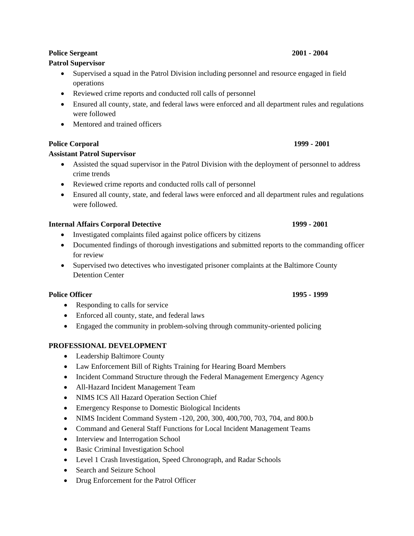# **Patrol Supervisor**

- Supervised a squad in the Patrol Division including personnel and resource engaged in field operations
- Reviewed crime reports and conducted roll calls of personnel
- Ensured all county, state, and federal laws were enforced and all department rules and regulations were followed
- Mentored and trained officers

# **Police Corporal 1999 - 2001**

# **Assistant Patrol Supervisor**

- Assisted the squad supervisor in the Patrol Division with the deployment of personnel to address crime trends
- Reviewed crime reports and conducted rolls call of personnel
- Ensured all county, state, and federal laws were enforced and all department rules and regulations were followed.

# **Internal Affairs Corporal Detective 1999 - 2001**

- Investigated complaints filed against police officers by citizens
- Documented findings of thorough investigations and submitted reports to the commanding officer for review
- Supervised two detectives who investigated prisoner complaints at the Baltimore County Detention Center

# **Police Officer 1995 - 1999**

- Responding to calls for service
- Enforced all county, state, and federal laws
- Engaged the community in problem-solving through community-oriented policing

# **PROFESSIONAL DEVELOPMENT**

- Leadership Baltimore County
- Law Enforcement Bill of Rights Training for Hearing Board Members
- Incident Command Structure through the Federal Management Emergency Agency
- All-Hazard Incident Management Team
- NIMS ICS All Hazard Operation Section Chief
- Emergency Response to Domestic Biological Incidents
- NIMS Incident Command System -120, 200, 300, 400, 700, 703, 704, and 800.b
- Command and General Staff Functions for Local Incident Management Teams
- Interview and Interrogation School
- Basic Criminal Investigation School
- Level 1 Crash Investigation, Speed Chronograph, and Radar Schools
- Search and Seizure School
- Drug Enforcement for the Patrol Officer

## **Police Sergeant 2001 - 2004**